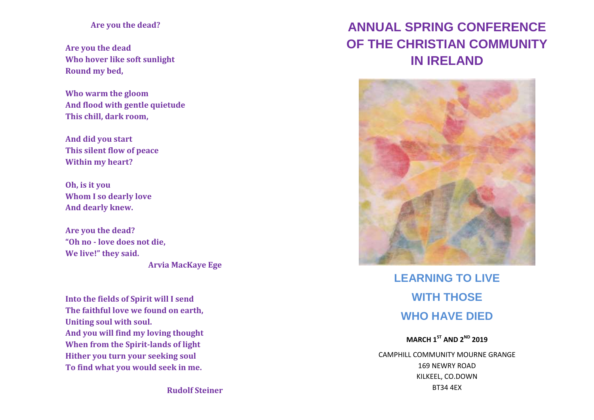## **Are you the dead?**

**Are you the dead Who hover like soft sunlight Round my bed,**

**Who warm the gloom And flood with gentle quietude This chill, dark room,**

**And did you start This silent flow of peace Within my heart?**

**Oh, is it you Whom I so dearly love And dearly knew.**

**Are you the dead? "Oh no - love does not die, We live!" they said. Arvia MacKaye Ege**

**Into the fields of Spirit will I send The faithful love we found on earth, Uniting soul with soul. And you will find my loving thought When from the Spirit-lands of light Hither you turn your seeking soul To find what you would seek in me.**

**ANNUAL SPRING CONFERENCE OF THE CHRISTIAN COMMUNITY IN IRELAND**



**LEARNING TO LIVE WITH THOSE WHO HAVE DIED**

**MARCH 1 ST AND 2ND 2019** CAMPHILL COMMUNITY MOURNE GRANGE 169 NEWRY ROAD KILKEEL, CO.DOWN BT34 4EX

**Rudolf Steiner**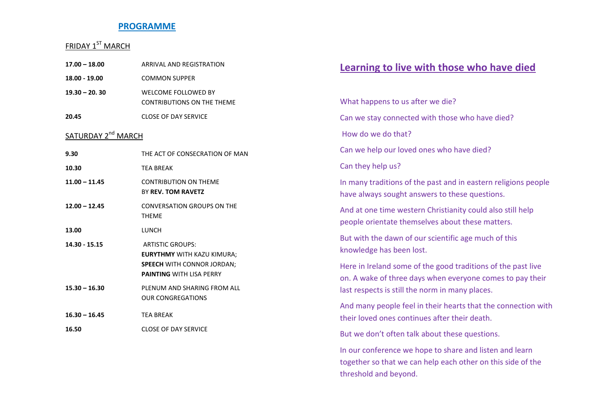## **PROGRAMME**

## FRIDAY 1<sup>ST</sup> MARCH

| $17.00 - 18.00$                | <b>ARRIVAL AND REGISTRATION</b>                                                                                                      |
|--------------------------------|--------------------------------------------------------------------------------------------------------------------------------------|
| 18.00 - 19.00                  | <b>COMMON SUPPER</b>                                                                                                                 |
| $19.30 - 20.30$                | <b>WELCOME FOLLOWED BY</b><br><b>CONTRIBUTIONS ON THE THEME</b>                                                                      |
| 20.45                          | <b>CLOSE OF DAY SERVICE</b>                                                                                                          |
| SATURDAY 2 <sup>nd</sup> MARCH |                                                                                                                                      |
| 9.30                           | THE ACT OF CONSECRATION OF MAN                                                                                                       |
| 10.30                          | <b>TEA BREAK</b>                                                                                                                     |
| $11.00 - 11.45$                | <b>CONTRIBUTION ON THEME</b><br>BY REV. TOM RAVETZ                                                                                   |
| $12.00 - 12.45$                | <b>CONVERSATION GROUPS ON THE</b><br><b>THEME</b>                                                                                    |
| 13.00                          | LUNCH                                                                                                                                |
| 14.30 - 15.15                  | <b>ARTISTIC GROUPS:</b><br><b>EURYTHMY WITH KAZU KIMURA;</b><br><b>SPEECH WITH CONNOR JORDAN;</b><br><b>PAINTING WITH LISA PERRY</b> |
| $15.30 - 16.30$                | PLENUM AND SHARING FROM ALL<br><b>OUR CONGREGATIONS</b>                                                                              |
| $16.30 - 16.45$                | <b>TFA BRFAK</b>                                                                                                                     |
| 16.50                          | <b>CLOSE OF DAY SERVICE</b>                                                                                                          |

# **Learning to live with those who have died**

What happens to us after we die? Can we stay connected with those who have died? How do we do that? Can we help our loved ones who have died? Can they help us? In many traditions of the past and in eastern religions people have always sought answers to these questions. And at one time western Christianity could also still help people orientate themselves about these matters. But with the dawn of our scientific age much of this knowledge has been lost. Here in Ireland some of the good traditions of the past live on. A wake of three days when everyone comes to pay their last respects is still the norm in many places. And many people feel in their hearts that the connection with their loved ones continues after their death. But we don't often talk about these questions. In our conference we hope to share and listen and learn together so that we can help each other on this side of the threshold and beyond.